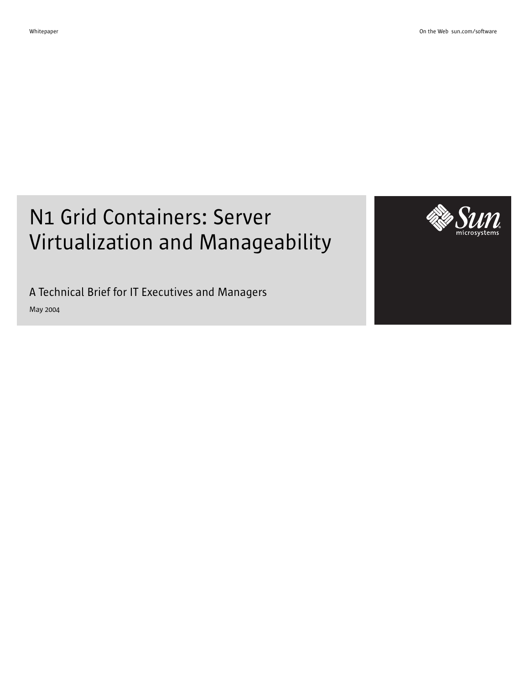# N1 Grid Containers: Server Virtualization and Manageability

A Technical Brief for IT Executives and Managers

May 2004

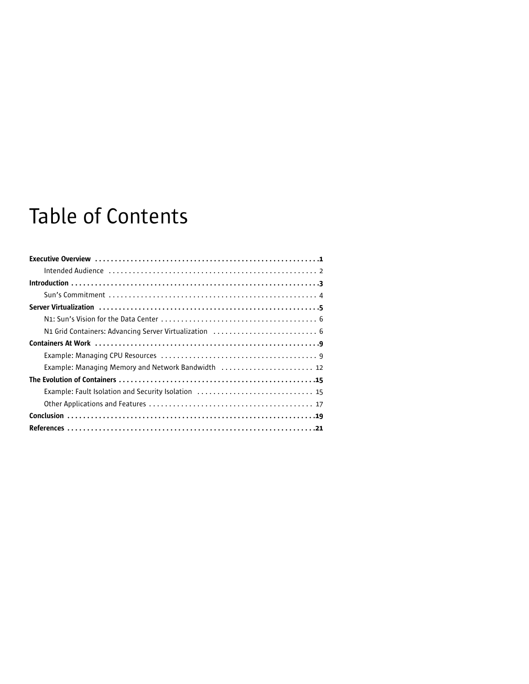# Table of Contents

| Example: Managing Memory and Network Bandwidth  12  |  |
|-----------------------------------------------------|--|
|                                                     |  |
| Example: Fault Isolation and Security Isolation  15 |  |
|                                                     |  |
|                                                     |  |
|                                                     |  |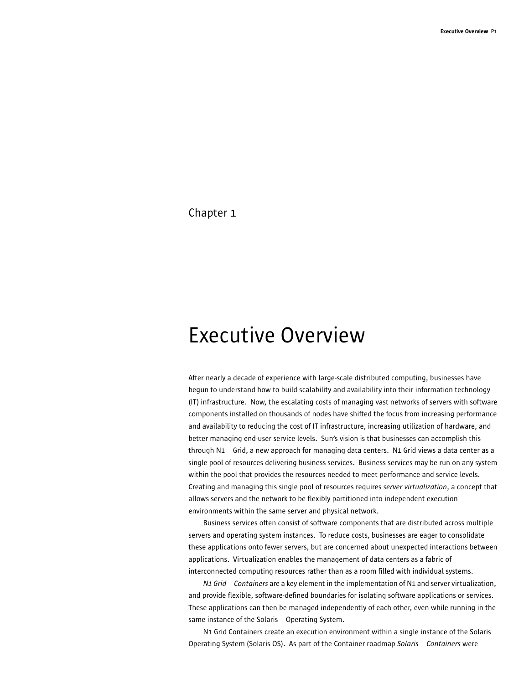## Executive Overview

After nearly a decade of experience with large-scale distributed computing, businesses have begun to understand how to build scalability and availability into their information technology (IT) infrastructure. Now, the escalating costs of managing vast networks of servers with software components installed on thousands of nodes have shifted the focus from increasing performance and availability to reducing the cost of IT infrastructure, increasing utilization of hardware, and better managing end-user service levels. Sun's vision is that businesses can accomplish this through N1<sup>™</sup> Grid, a new approach for managing data centers. N1 Grid views a data center as a single pool of resources delivering business services. Business services may be run on any system within the pool that provides the resources needed to meet performance and service levels. Creating and managing this single pool of resources requires *server virtualization*, a concept that allows servers and the network to be flexibly partitioned into independent execution environments within the same server and physical network.

Business services often consist of software components that are distributed across multiple servers and operating system instances. To reduce costs, businesses are eager to consolidate these applications onto fewer servers, but are concerned about unexpected interactions between applications. Virtualization enables the management of data centers as a fabric of interconnected computing resources rather than as a room filled with individual systems.

*N1 Grid Containers* are a key element in the implementation of N1 and server virtualization, and provide flexible, software-defined boundaries for isolating software applications or services. These applications can then be managed independently of each other, even while running in the same instance of the Solaris<sup>™</sup> Operating System.

N1 Grid Containers create an execution environment within a single instance of the Solaris Operating System (Solaris OS). As part of the Container roadmap *Solaris*™ Containers were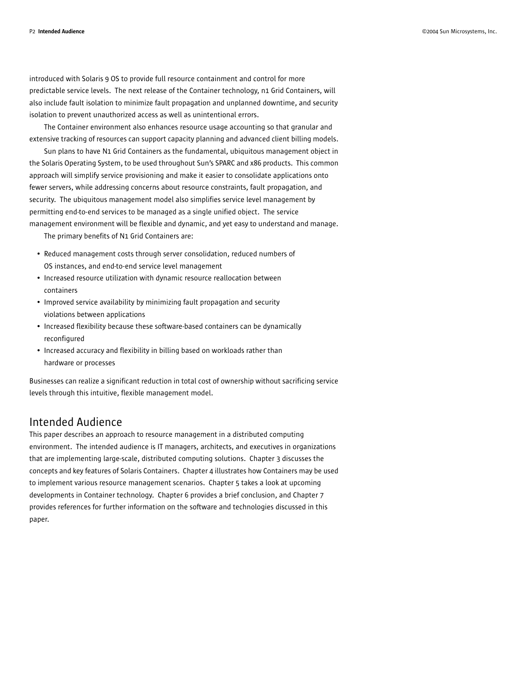introduced with Solaris 9 OS to provide full resource containment and control for more predictable service levels. The next release of the Container technology, n1 Grid Containers, will also include fault isolation to minimize fault propagation and unplanned downtime, and security isolation to prevent unauthorized access as well as unintentional errors.

The Container environment also enhances resource usage accounting so that granular and extensive tracking of resources can support capacity planning and advanced client billing models.

Sun plans to have N1 Grid Containers as the fundamental, ubiquitous management object in the Solaris Operating System, to be used throughout Sun's SPARC and x86 products. This common approach will simplify service provisioning and make it easier to consolidate applications onto fewer servers, while addressing concerns about resource constraints, fault propagation, and security. The ubiquitous management model also simplifies service level management by permitting end-to-end services to be managed as a single unified object. The service management environment will be flexible and dynamic, and yet easy to understand and manage.

The primary benefits of N1 Grid Containers are:

- Reduced management costs through server consolidation, reduced numbers of OS instances, and end-to-end service level management
- Increased resource utilization with dynamic resource reallocation between containers
- Improved service availability by minimizing fault propagation and security violations between applications
- Increased flexibility because these software-based containers can be dynamically reconfigured
- Increased accuracy and flexibility in billing based on workloads rather than hardware or processes

Businesses can realize a significant reduction in total cost of ownership without sacrificing service levels through this intuitive, flexible management model.

### Intended Audience

This paper describes an approach to resource management in a distributed computing environment. The intended audience is IT managers, architects, and executives in organizations that are implementing large-scale, distributed computing solutions. Chapter 3 discusses the concepts and key features of Solaris Containers. Chapter 4 illustrates how Containers may be used to implement various resource management scenarios. Chapter 5 takes a look at upcoming developments in Container technology. Chapter 6 provides a brief conclusion, and Chapter 7 provides references for further information on the software and technologies discussed in this paper.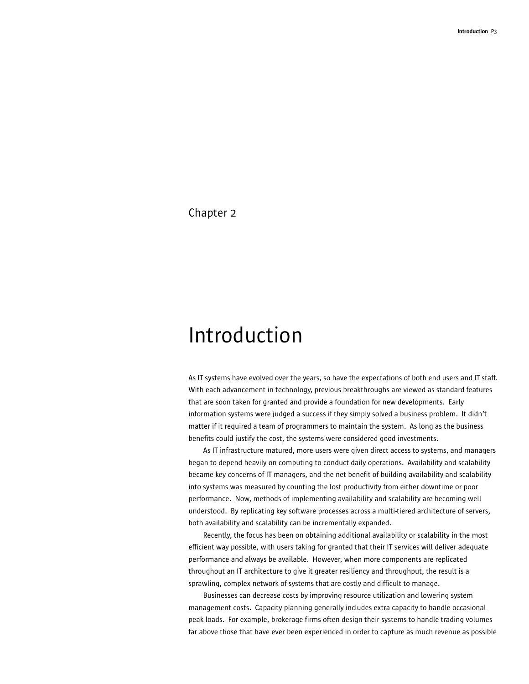## Introduction

As IT systems have evolved over the years, so have the expectations of both end users and IT staff. With each advancement in technology, previous breakthroughs are viewed as standard features that are soon taken for granted and provide a foundation for new developments. Early information systems were judged a success if they simply solved a business problem. It didn't matter if it required a team of programmers to maintain the system. As long as the business benefits could justify the cost, the systems were considered good investments.

As IT infrastructure matured, more users were given direct access to systems, and managers began to depend heavily on computing to conduct daily operations. Availability and scalability became key concerns of IT managers, and the net benefit of building availability and scalability into systems was measured by counting the lost productivity from either downtime or poor performance. Now, methods of implementing availability and scalability are becoming well understood. By replicating key software processes across a multi-tiered architecture of servers, both availability and scalability can be incrementally expanded.

Recently, the focus has been on obtaining additional availability or scalability in the most efficient way possible, with users taking for granted that their IT services will deliver adequate performance and always be available. However, when more components are replicated throughout an IT architecture to give it greater resiliency and throughput, the result is a sprawling, complex network of systems that are costly and difficult to manage.

Businesses can decrease costs by improving resource utilization and lowering system management costs. Capacity planning generally includes extra capacity to handle occasional peak loads. For example, brokerage firms often design their systems to handle trading volumes far above those that have ever been experienced in order to capture as much revenue as possible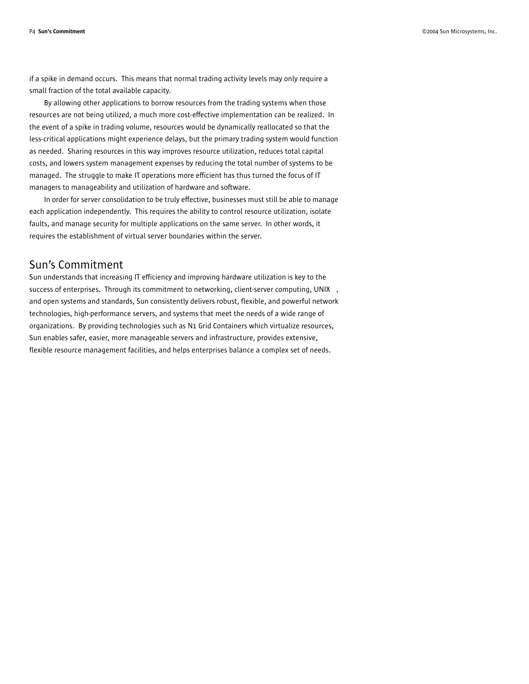if a spike in demand occurs. This means that normal trading activity levels may only require a small fraction of the total available capacity.

By allowing other applications to borrow resources from the trading systems when those resources are not being utilized, a much more cost-effective implementation can be realized. In the event of a spike in trading volume, resources would be dynamically reallocated so that the less-critical applications might experience delays, but the primary trading system would function as needed. Sharing resources in this way improves resource utilization, reduces total capital costs, and lowers system management expenses by reducing the total number of systems to be managed. The struggle to make IT operations more efficient has thus turned the focus of IT managers to manageability and utilization of hardware and software.

In order for server consolidation to be truly effective, businesses must still be able to manage each application independently. This requires the ability to control resource utilization, isolate faults, and manage security for multiple applications on the same server. In other words, it requires the establishment of virtual server boundaries within the server.

#### Sun's Commitment

Sun understands that increasing IT efficiency and improving hardware utilization is key to the success of enterprises. Through its commitment to networking, client-server computing, UNIX™, and open systems and standards, Sun consistently delivers robust, flexible, and powerful network technologies, high-performance servers, and systems that meet the needs of a wide range of organizations. By providing technologies such as N1 Grid Containers which virtualize resources, Sun enables safer, easier, more manageable servers and infrastructure, provides extensive, flexible resource management facilities, and helps enterprises balance a complex set of needs.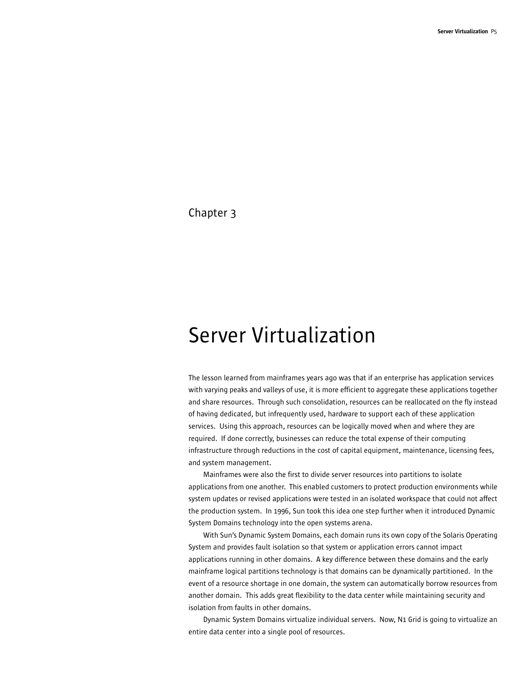## Server Virtualization

The lesson learned from mainframes years ago was that if an enterprise has application services with varying peaks and valleys of use, it is more efficient to aggregate these applications together and share resources. Through such consolidation, resources can be reallocated on the fly instead of having dedicated, but infrequently used, hardware to support each of these application services. Using this approach, resources can be logically moved when and where they are required. If done correctly, businesses can reduce the total expense of their computing infrastructure through reductions in the cost of capital equipment, maintenance, licensing fees, and system management.

Mainframes were also the first to divide server resources into partitions to isolate applications from one another. This enabled customers to protect production environments while system updates or revised applications were tested in an isolated workspace that could not affect the production system. In 1996, Sun took this idea one step further when it introduced Dynamic System Domains technology into the open systems arena.

With Sun's Dynamic System Domains, each domain runs its own copy of the Solaris Operating System and provides fault isolation so that system or application errors cannot impact applications running in other domains. A key difference between these domains and the early mainframe logical partitions technology is that domains can be dynamically partitioned. In the event of a resource shortage in one domain, the system can automatically borrow resources from another domain. This adds great flexibility to the data center while maintaining security and isolation from faults in other domains.

Dynamic System Domains virtualize individual servers. Now, N1 Grid is going to virtualize an entire data center into a single pool of resources.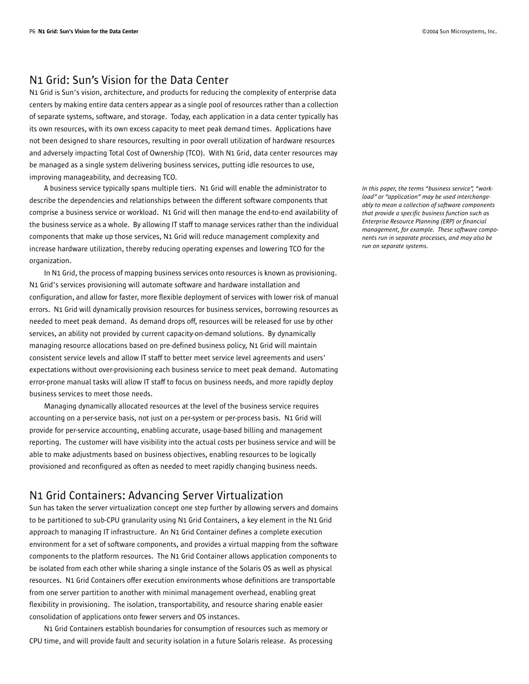### N1 Grid: Sun's Vision for the Data Center

N1 Grid is Sun's vision, architecture, and products for reducing the complexity of enterprise data centers by making entire data centers appear as a single pool of resources rather than a collection of separate systems, software, and storage. Today, each application in a data center typically has its own resources, with its own excess capacity to meet peak demand times. Applications have not been designed to share resources, resulting in poor overall utilization of hardware resources and adversely impacting Total Cost of Ownership (TCO). With N1 Grid, data center resources may be managed as a single system delivering business services, putting idle resources to use, improving manageability, and decreasing TCO.

A business service typically spans multiple tiers. N1 Grid will enable the administrator to describe the dependencies and relationships between the different software components that comprise a business service or workload. N1 Grid will then manage the end-to-end availability of the business service as a whole. By allowing IT staff to manage services rather than the individual components that make up those services, N1 Grid will reduce management complexity and increase hardware utilization, thereby reducing operating expenses and lowering TCO for the organization.

In N1 Grid, the process of mapping business services onto resources is known as provisioning. N1 Grid's services provisioning will automate software and hardware installation and configuration, and allow for faster, more flexible deployment of services with lower risk of manual errors. N1 Grid will dynamically provision resources for business services, borrowing resources as needed to meet peak demand. As demand drops off, resources will be released for use by other services, an ability not provided by current capacity-on-demand solutions. By dynamically managing resource allocations based on pre-defined business policy, N1 Grid will maintain consistent service levels and allow IT staff to better meet service level agreements and users' expectations without over-provisioning each business service to meet peak demand. Automating error-prone manual tasks will allow IT staff to focus on business needs, and more rapidly deploy business services to meet those needs.

Managing dynamically allocated resources at the level of the business service requires accounting on a per-service basis, not just on a per-system or per-process basis. N1 Grid will provide for per-service accounting, enabling accurate, usage-based billing and management reporting. The customer will have visibility into the actual costs per business service and will be able to make adjustments based on business objectives, enabling resources to be logically provisioned and reconfigured as often as needed to meet rapidly changing business needs.

#### N1 Grid Containers: Advancing Server Virtualization

Sun has taken the server virtualization concept one step further by allowing servers and domains to be partitioned to sub-CPU granularity using N1 Grid Containers, a key element in the N1 Grid approach to managing IT infrastructure. An N1 Grid Container defines a complete execution environment for a set of software components, and provides a virtual mapping from the software components to the platform resources. The N1 Grid Container allows application components to be isolated from each other while sharing a single instance of the Solaris OS as well as physical resources. N1 Grid Containers offer execution environments whose definitions are transportable from one server partition to another with minimal management overhead, enabling great flexibility in provisioning. The isolation, transportability, and resource sharing enable easier consolidation of applications onto fewer servers and OS instances.

N1 Grid Containers establish boundaries for consumption of resources such as memory or CPU time, and will provide fault and security isolation in a future Solaris release. As processing *In this paper, the terms "business service", "workload" or "application" may be used interchangeably to mean a collection of software components that provide a specific business function such as Enterprise Resource Planning (ERP) or financial management, for example. These software components run in separate processes, and may also be run on separate systems.*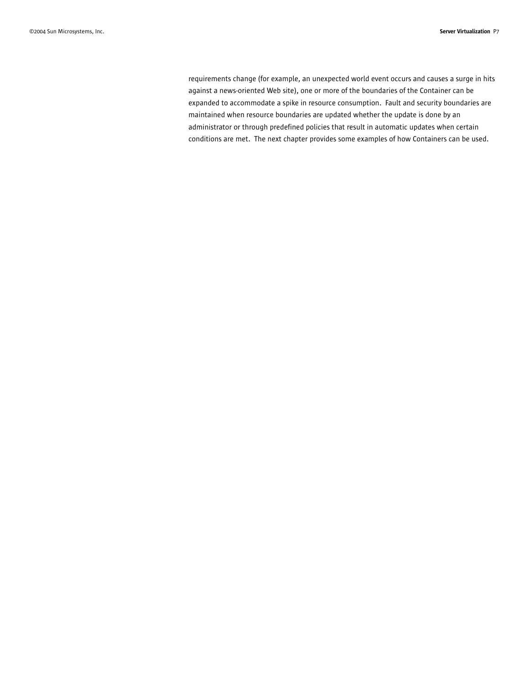requirements change (for example, an unexpected world event occurs and causes a surge in hits against a news-oriented Web site), one or more of the boundaries of the Container can be expanded to accommodate a spike in resource consumption. Fault and security boundaries are maintained when resource boundaries are updated whether the update is done by an administrator or through predefined policies that result in automatic updates when certain conditions are met. The next chapter provides some examples of how Containers can be used.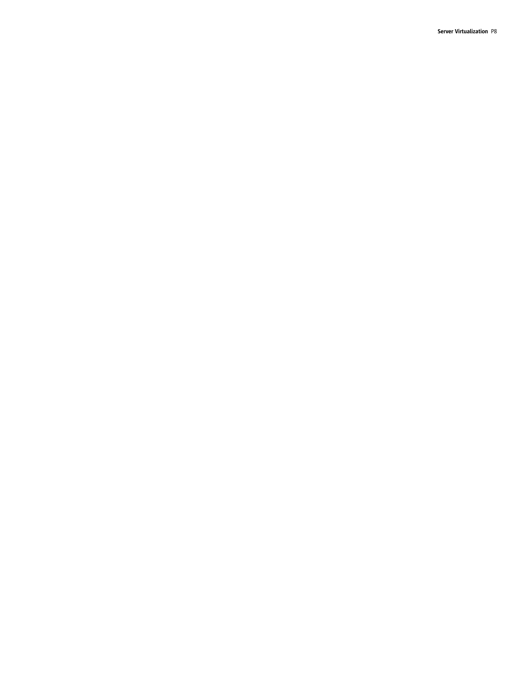Server Virtualization P8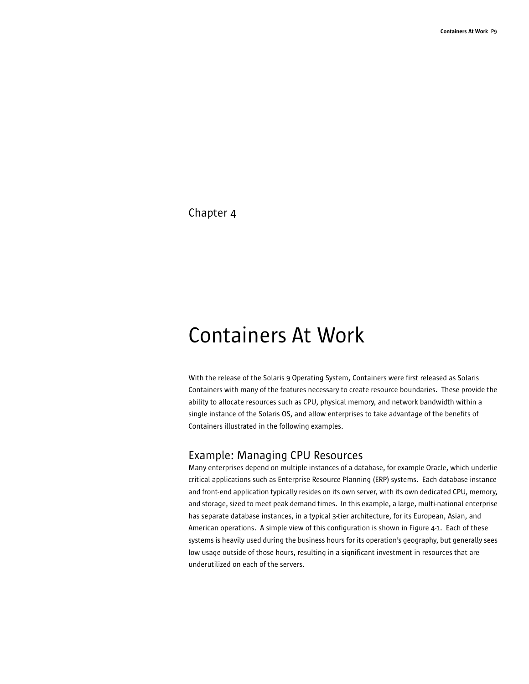## Containers At Work

With the release of the Solaris 9 Operating System, Containers were first released as Solaris Containers with many of the features necessary to create resource boundaries. These provide the ability to allocate resources such as CPU, physical memory, and network bandwidth within a single instance of the Solaris OS, and allow enterprises to take advantage of the benefits of Containers illustrated in the following examples.

#### Example: Managing CPU Resources

Many enterprises depend on multiple instances of a database, for example Oracle, which underlie critical applications such as Enterprise Resource Planning (ERP) systems. Each database instance and front-end application typically resides on its own server, with its own dedicated CPU, memory, and storage, sized to meet peak demand times. In this example, a large, multi-national enterprise has separate database instances, in a typical 3-tier architecture, for its European, Asian, and American operations. A simple view of this configuration is shown in Figure 4-1. Each of these systems is heavily used during the business hours for its operation's geography, but generally sees low usage outside of those hours, resulting in a significant investment in resources that are underutilized on each of the servers.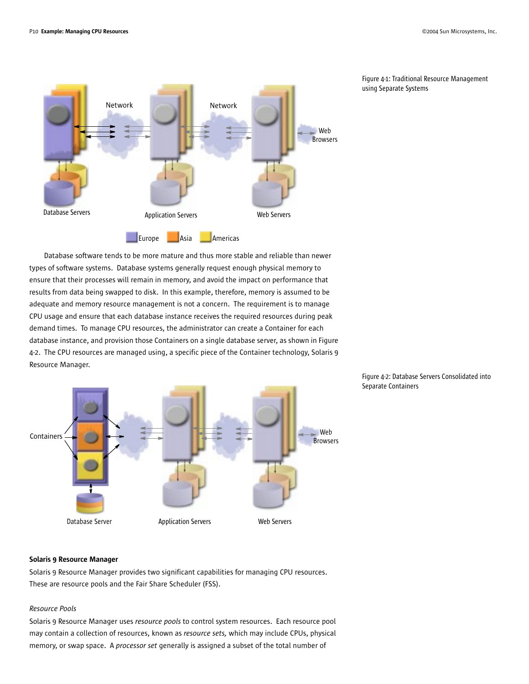Figure 4-1: Traditional Resource Management

using Separate Systems



Database software tends to be more mature and thus more stable and reliable than newer types of software systems. Database systems generally request enough physical memory to ensure that their processes will remain in memory, and avoid the impact on performance that results from data being swapped to disk. In this example, therefore, memory is assumed to be adequate and memory resource management is not a concern. The requirement is to manage CPU usage and ensure that each database instance receives the required resources during peak demand times. To manage CPU resources, the administrator can create a Container for each database instance, and provision those Containers on a single database server, as shown in Figure 4-2. The CPU resources are managed using, a specific piece of the Container technology, Solaris 9 Resource Manager.



Figure 4-2: Database Servers Consolidated into Separate Containers

#### Solaris 9 Resource Manager

Solaris 9 Resource Manager provides two significant capabilities for managing CPU resources. These are resource pools and the Fair Share Scheduler (FSS).

#### *Resource Pools*

Solaris 9 Resource Manager uses *resource pools* to control system resources. Each resource pool may contain a collection of resources, known as *resource sets,* which may include CPUs, physical memory, or swap space. A *processor set* generally is assigned a subset of the total number of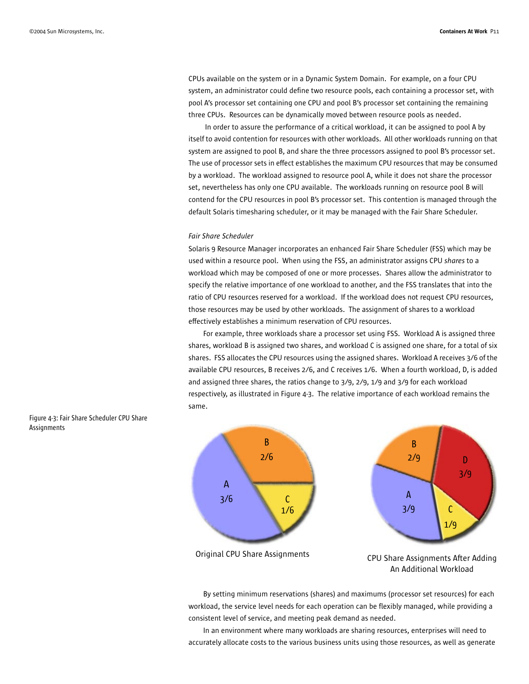CPUs available on the system or in a Dynamic System Domain. For example, on a four CPU system, an administrator could define two resource pools, each containing a processor set, with pool A's processor set containing one CPU and pool B's processor set containing the remaining three CPUs. Resources can be dynamically moved between resource pools as needed.

 In order to assure the performance of a critical workload, it can be assigned to pool A by itself to avoid contention for resources with other workloads. All other workloads running on that system are assigned to pool B, and share the three processors assigned to pool B's processor set. The use of processor sets in effect establishes the maximum CPU resources that may be consumed by a workload. The workload assigned to resource pool A, while it does not share the processor set, nevertheless has only one CPU available. The workloads running on resource pool B will contend for the CPU resources in pool B's processor set. This contention is managed through the default Solaris timesharing scheduler, or it may be managed with the Fair Share Scheduler.

#### *Fair Share Scheduler*

Solaris 9 Resource Manager incorporates an enhanced Fair Share Scheduler (FSS) which may be used within a resource pool. When using the FSS, an administrator assigns CPU *shares* to a workload which may be composed of one or more processes. Shares allow the administrator to specify the relative importance of one workload to another, and the FSS translates that into the ratio of CPU resources reserved for a workload. If the workload does not request CPU resources, those resources may be used by other workloads. The assignment of shares to a workload effectively establishes a minimum reservation of CPU resources.

For example, three workloads share a processor set using FSS. Workload A is assigned three shares, workload B is assigned two shares, and workload C is assigned one share, for a total of six shares. FSS allocates the CPU resources using the assigned shares. Workload A receives 3/6 of the available CPU resources, B receives 2/6, and C receives 1/6. When a fourth workload, D, is added and assigned three shares, the ratios change to 3/9, 2/9, 1/9 and 3/9 for each workload respectively, as illustrated in Figure 4-3. The relative importance of each workload remains the same.





By setting minimum reservations (shares) and maximums (processor set resources) for each workload, the service level needs for each operation can be flexibly managed, while providing a consistent level of service, and meeting peak demand as needed.

In an environment where many workloads are sharing resources, enterprises will need to accurately allocate costs to the various business units using those resources, as well as generate

Figure 4-3: Fair Share Scheduler CPU Share Assignments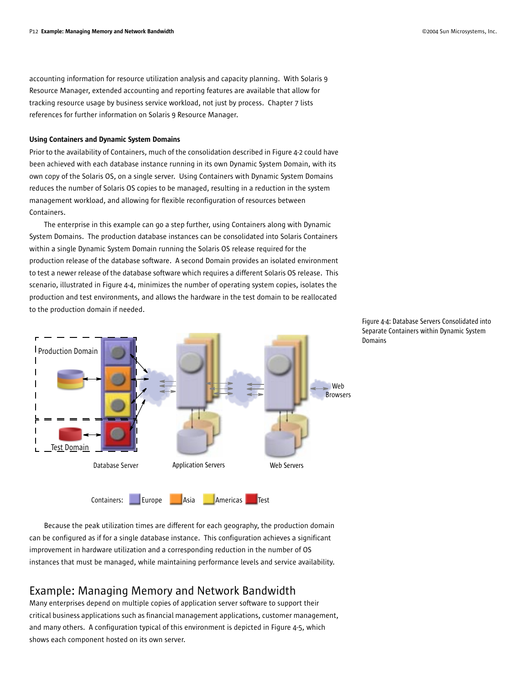accounting information for resource utilization analysis and capacity planning. With Solaris 9 Resource Manager, extended accounting and reporting features are available that allow for tracking resource usage by business service workload, not just by process. Chapter 7 lists references for further information on Solaris 9 Resource Manager.

#### Using Containers and Dynamic System Domains

Prior to the availability of Containers, much of the consolidation described in Figure 4-2 could have been achieved with each database instance running in its own Dynamic System Domain, with its own copy of the Solaris OS, on a single server. Using Containers with Dynamic System Domains reduces the number of Solaris OS copies to be managed, resulting in a reduction in the system management workload, and allowing for flexible reconfiguration of resources between Containers.

The enterprise in this example can go a step further, using Containers along with Dynamic System Domains. The production database instances can be consolidated into Solaris Containers within a single Dynamic System Domain running the Solaris OS release required for the production release of the database software. A second Domain provides an isolated environment to test a newer release of the database software which requires a different Solaris OS release. This scenario, illustrated in Figure 4-4, minimizes the number of operating system copies, isolates the production and test environments, and allows the hardware in the test domain to be reallocated to the production domain if needed.



Figure 4-4: Database Servers Consolidated into Separate Containers within Dynamic System Domains

Because the peak utilization times are different for each geography, the production domain can be configured as if for a single database instance. This configuration achieves a significant improvement in hardware utilization and a corresponding reduction in the number of OS instances that must be managed, while maintaining performance levels and service availability.

### Example: Managing Memory and Network Bandwidth

Many enterprises depend on multiple copies of application server software to support their critical business applications such as financial management applications, customer management, and many others. A configuration typical of this environment is depicted in Figure 4-5, which shows each component hosted on its own server.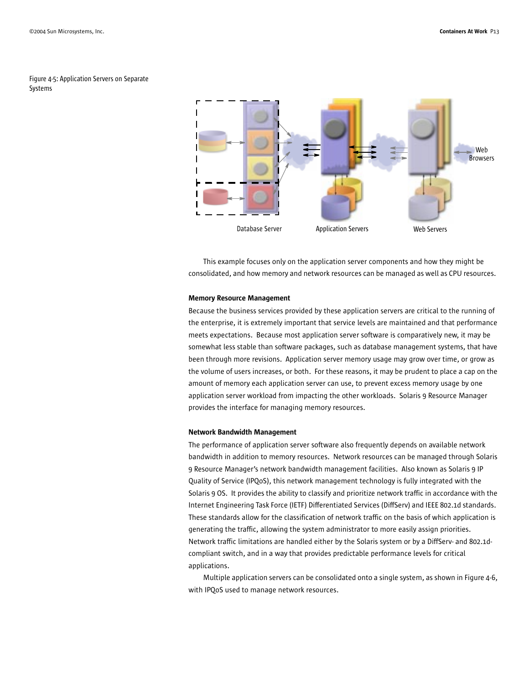Database Server **Application Servers** Web Servers Web Browsers

This example focuses only on the application server components and how they might be consolidated, and how memory and network resources can be managed as well as CPU resources.

#### Memory Resource Management

Because the business services provided by these application servers are critical to the running of the enterprise, it is extremely important that service levels are maintained and that performance meets expectations. Because most application server software is comparatively new, it may be somewhat less stable than software packages, such as database management systems, that have been through more revisions. Application server memory usage may grow over time, or grow as the volume of users increases, or both. For these reasons, it may be prudent to place a cap on the amount of memory each application server can use, to prevent excess memory usage by one application server workload from impacting the other workloads. Solaris 9 Resource Manager provides the interface for managing memory resources.

#### Network Bandwidth Management

The performance of application server software also frequently depends on available network bandwidth in addition to memory resources. Network resources can be managed through Solaris 9 Resource Manager's network bandwidth management facilities. Also known as Solaris 9 IP Quality of Service (IPQoS), this network management technology is fully integrated with the Solaris 9 OS. It provides the ability to classify and prioritize network traffic in accordance with the Internet Engineering Task Force (IETF) Differentiated Services (DiffServ) and IEEE 802.1d standards. These standards allow for the classification of network traffic on the basis of which application is generating the traffic, allowing the system administrator to more easily assign priorities. Network traffic limitations are handled either by the Solaris system or by a DiffServ- and 802.1dcompliant switch, and in a way that provides predictable performance levels for critical applications.

Multiple application servers can be consolidated onto a single system, as shown in Figure 4-6, with IPQoS used to manage network resources.

Figure 4-5: Application Servers on Separate Systems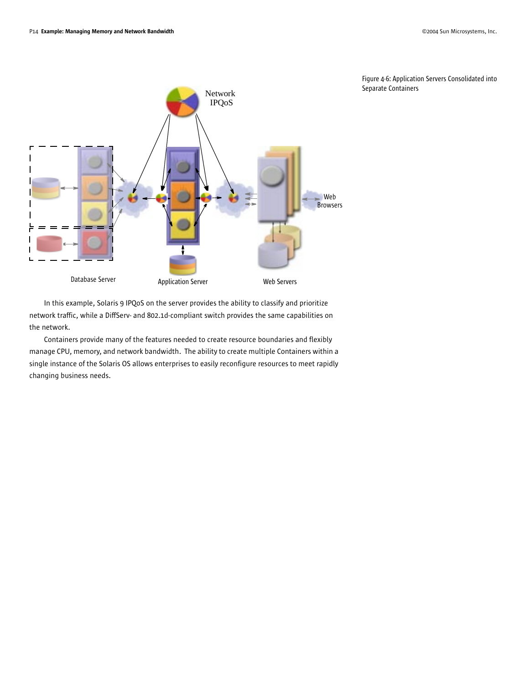

In this example, Solaris 9 IPQoS on the server provides the ability to classify and prioritize network traffic, while a DiffServ- and 802.1d-compliant switch provides the same capabilities on the network.

Containers provide many of the features needed to create resource boundaries and flexibly manage CPU, memory, and network bandwidth. The ability to create multiple Containers within a single instance of the Solaris OS allows enterprises to easily reconfigure resources to meet rapidly changing business needs.

#### Figure 4-6: Application Servers Consolidated into Separate Containers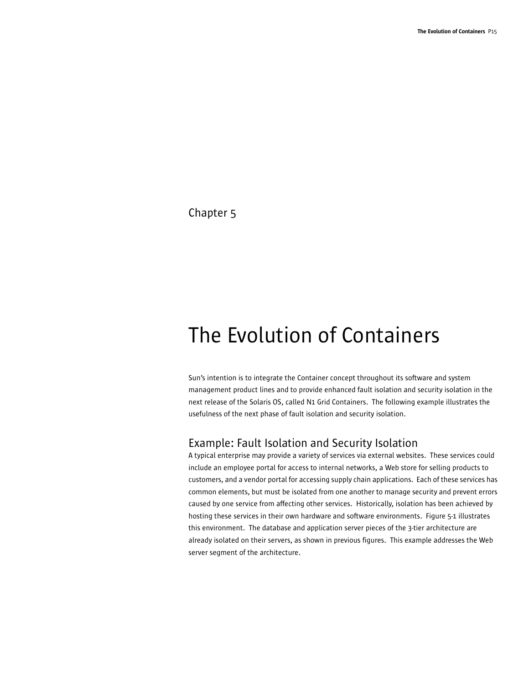## The Evolution of Containers

Sun's intention is to integrate the Container concept throughout its software and system management product lines and to provide enhanced fault isolation and security isolation in the next release of the Solaris OS, called N1 Grid Containers. The following example illustrates the usefulness of the next phase of fault isolation and security isolation.

### Example: Fault Isolation and Security Isolation

A typical enterprise may provide a variety of services via external websites. These services could include an employee portal for access to internal networks, a Web store for selling products to customers, and a vendor portal for accessing supply chain applications. Each of these services has common elements, but must be isolated from one another to manage security and prevent errors caused by one service from affecting other services. Historically, isolation has been achieved by hosting these services in their own hardware and software environments. Figure 5-1 illustrates this environment. The database and application server pieces of the 3-tier architecture are already isolated on their servers, as shown in previous figures. This example addresses the Web server segment of the architecture.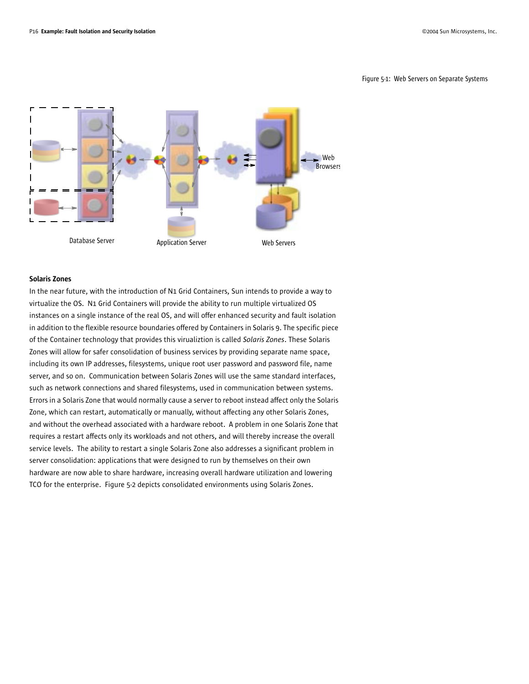#### Figure 5-1: Web Servers on Separate Systems



#### Solaris Zones

In the near future, with the introduction of N1 Grid Containers, Sun intends to provide a way to virtualize the OS. N1 Grid Containers will provide the ability to run multiple virtualized OS instances on a single instance of the real OS, and will offer enhanced security and fault isolation in addition to the flexible resource boundaries offered by Containers in Solaris 9. The specific piece of the Container technology that provides this virualiztion is called *Solaris Zones*. These Solaris Zones will allow for safer consolidation of business services by providing separate name space, including its own IP addresses, filesystems, unique root user password and password file, name server, and so on. Communication between Solaris Zones will use the same standard interfaces, such as network connections and shared filesystems, used in communication between systems. Errors in a Solaris Zone that would normally cause a server to reboot instead affect only the Solaris Zone, which can restart, automatically or manually, without affecting any other Solaris Zones, and without the overhead associated with a hardware reboot. A problem in one Solaris Zone that requires a restart affects only its workloads and not others, and will thereby increase the overall service levels. The ability to restart a single Solaris Zone also addresses a significant problem in server consolidation: applications that were designed to run by themselves on their own hardware are now able to share hardware, increasing overall hardware utilization and lowering TCO for the enterprise. Figure 5-2 depicts consolidated environments using Solaris Zones.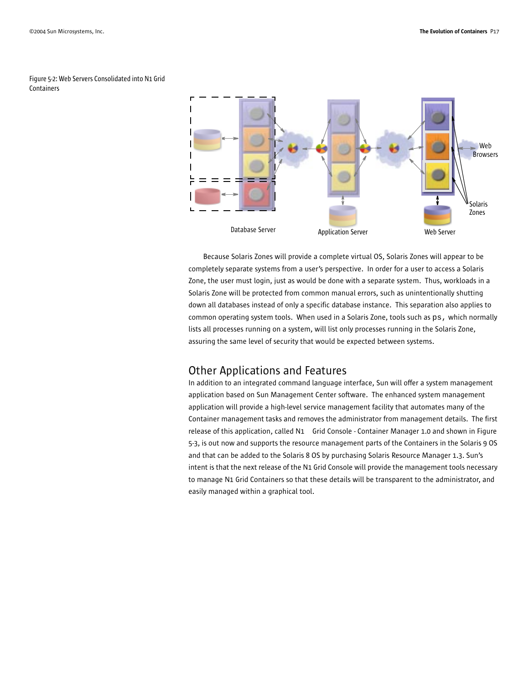

Because Solaris Zones will provide a complete virtual OS, Solaris Zones will appear to be completely separate systems from a user's perspective. In order for a user to access a Solaris Zone, the user must login, just as would be done with a separate system. Thus, workloads in a Solaris Zone will be protected from common manual errors, such as unintentionally shutting down all databases instead of only a specific database instance. This separation also applies to common operating system tools. When used in a Solaris Zone, tools such as ps, which normally lists all processes running on a system, will list only processes running in the Solaris Zone, assuring the same level of security that would be expected between systems.

## Other Applications and Features

In addition to an integrated command language interface, Sun will offer a system management application based on Sun Management Center software. The enhanced system management application will provide a high-level service management facility that automates many of the Container management tasks and removes the administrator from management details. The first release of this application, called N1<sup>™</sup> Grid Console - Container Manager 1.0 and shown in Figure 5-3, is out now and supports the resource management parts of the Containers in the Solaris 9 OS and that can be added to the Solaris 8 OS by purchasing Solaris Resource Manager 1.3. Sun's intent is that the next release of the N1 Grid Console will provide the management tools necessary to manage N1 Grid Containers so that these details will be transparent to the administrator, and easily managed within a graphical tool.

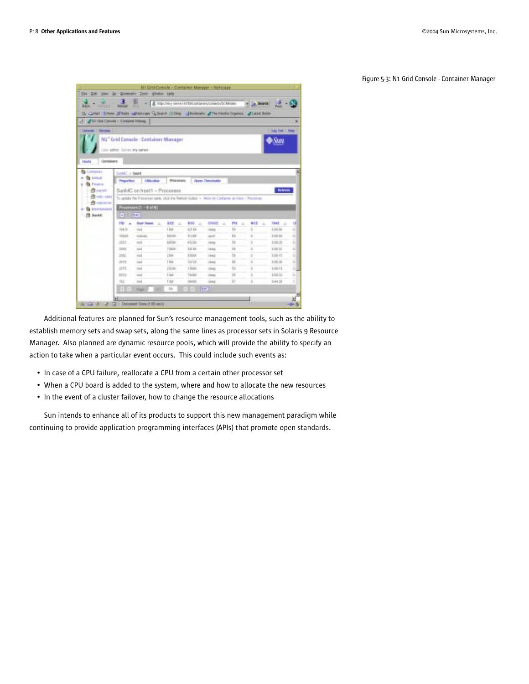#### Figure 5-3: N1 Grid Console - Container Manager

|                                                                                                 |                   |                                                                                                  |                   |                 | NT Crid Concole - Container Manager - Netstage |                |               |                  |    |
|-------------------------------------------------------------------------------------------------|-------------------|--------------------------------------------------------------------------------------------------|-------------------|-----------------|------------------------------------------------|----------------|---------------|------------------|----|
| Die Erk zum der Brokname                                                                        |                   | Den girms this                                                                                   |                   |                 |                                                |                |               |                  |    |
| <b>Alabama</b><br><b>BALK</b>                                                                   |                   | в<br>w                                                                                           |                   |                 | & HSL/Hi-berei Efficatares/Jimeo/JCMsbc        |                | $+$ $+$ 30918 |                  |    |
| 25. Chief Crime of held substitute Chief in the  However, a The Holds Organize. All state Balds |                   |                                                                                                  |                   |                 |                                                |                |               |                  |    |
| 1 210 Gol Censile : Elmanes Intensa                                                             |                   |                                                                                                  |                   |                 |                                                |                |               |                  |    |
| Daniel Library                                                                                  |                   |                                                                                                  |                   |                 |                                                |                |               | long Dat 1, Danp |    |
| List since Server my perent<br><b>Gardwinn's</b><br>Hothi                                       |                   | N1 <sup>-</sup> Grid Console - Container Manager                                                 |                   |                 |                                                |                |               |                  |    |
| <b>Ba Containers</b>                                                                            | Sold - hert       |                                                                                                  |                   |                 |                                                |                |               |                  |    |
| <b>B</b> Della                                                                                  | <b>Properties</b> | Uklic plane                                                                                      | <b>Physiology</b> |                 | <b>Now Thresholds</b>                          |                |               |                  |    |
| <b>By Finance</b>                                                                               |                   |                                                                                                  |                   |                 |                                                |                |               |                  |    |
| $ \frac{1}{2}$ paymit<br>SunMC on host1 - Processes                                             |                   |                                                                                                  |                   |                 |                                                |                |               | <b>Bullets</b>   |    |
| $-25$ uni-corr<br>di vecarar                                                                    |                   | To apriori the Processes today, click the Retent botton > More an Conference in Heri + Processes |                   |                 |                                                |                |               |                  |    |
| <b>Bibliotecard</b>                                                                             |                   | Prosesses (1 - 8 of 8)                                                                           |                   |                 |                                                |                |               |                  |    |
| <b>CR Sunklet</b>                                                                               | $+11.11$          |                                                                                                  |                   |                 |                                                |                |               |                  |    |
|                                                                                                 | PE-13             | <b>Brant Electro</b><br>a.                                                                       | $1 - 7$<br>$\sim$ | <b>BSB</b> (a)  | <b>STAFF</b><br>÷                              | <b>FY</b><br>٠ | <b>BIT</b> in | Time f           | п  |
|                                                                                                 | 104.08            | mint                                                                                             | 1 Eld             | 621 KH          | <b>Career</b>                                  | 15             | ÷             | Ir būt tita      | a. |
|                                                                                                 | HIAS              | <b>Address</b>                                                                                   | 10,701            | 11,136          | <b>GRUD</b>                                    | 15             | B             | 3.05.00          | o. |
|                                                                                                 | 5953              | track                                                                                            | <b>MSA</b>        | 4528            | 1945                                           | 55             | ÷             | 310.75           | O. |
|                                                                                                 | 3688              | $-1$                                                                                             | 7200              | TIT MI.         | Library                                        | 15             | ×             | 110.22           | w  |
|                                                                                                 | MAIL              | 70 KW                                                                                            | CIM               | <b>65800</b>    | 1982                                           | m              | ٠             | 830.15           | O) |
|                                                                                                 |                   |                                                                                                  |                   |                 |                                                | to             | $\mathbb{R}$  | 115.38           |    |
|                                                                                                 | 3873              | $-1$                                                                                             | T <sub>TM</sub>   | TEFEE           | $1.00$ mpc                                     |                |               |                  | 測  |
|                                                                                                 | 3919              | met                                                                                              | <b>CSOR</b>       | 1580m           | 1884                                           | ы              | ÷             | 0.00.15          | 61 |
|                                                                                                 | 8121              | met                                                                                              | 1 illul           | TEATH           | 1984                                           | m              | $\mathbb I$   | 9.98.33          | ٠  |
|                                                                                                 | <b>Hz</b>         | <b>STAR</b>                                                                                      | 1,368             | travelast       | <b>IRAN</b>                                    | v              | ×             | 1441, 23         | ž. |
|                                                                                                 | 计页口               | Page 3<br>$-100$                                                                                 | $\mathbb{R}$      | <b>CONTRACT</b> |                                                |                |               |                  |    |
| ш                                                                                               |                   |                                                                                                  |                   |                 |                                                |                |               |                  |    |

Additional features are planned for Sun's resource management tools, such as the ability to establish memory sets and swap sets, along the same lines as processor sets in Solaris 9 Resource Manager. Also planned are dynamic resource pools, which will provide the ability to specify an action to take when a particular event occurs. This could include such events as:

- In case of a CPU failure, reallocate a CPU from a certain other processor set
- When a CPU board is added to the system, where and how to allocate the new resources
- In the event of a cluster failover, how to change the resource allocations

Sun intends to enhance all of its products to support this new management paradigm while continuing to provide application programming interfaces (APIs) that promote open standards.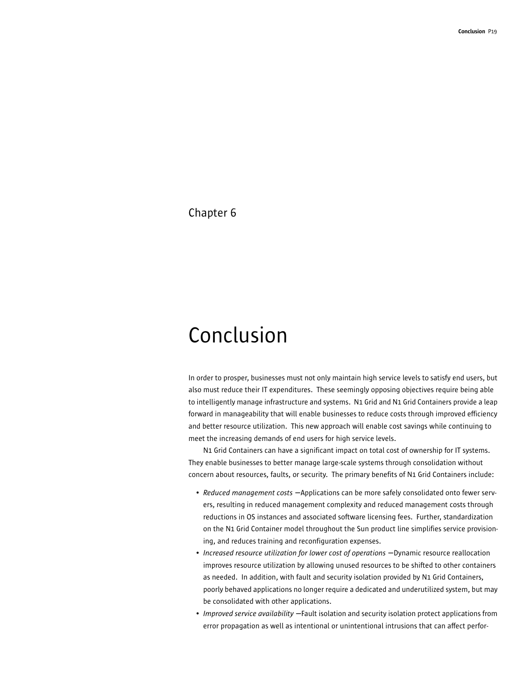## Conclusion

In order to prosper, businesses must not only maintain high service levels to satisfy end users, but also must reduce their IT expenditures. These seemingly opposing objectives require being able to intelligently manage infrastructure and systems. N1 Grid and N1 Grid Containers provide a leap forward in manageability that will enable businesses to reduce costs through improved efficiency and better resource utilization. This new approach will enable cost savings while continuing to meet the increasing demands of end users for high service levels.

N1 Grid Containers can have a significant impact on total cost of ownership for IT systems. They enable businesses to better manage large-scale systems through consolidation without concern about resources, faults, or security. The primary benefits of N1 Grid Containers include:

- *Reduced management costs* − Applications can be more safely consolidated onto fewer servers, resulting in reduced management complexity and reduced management costs through reductions in OS instances and associated software licensing fees. Further, standardization on the N1 Grid Container model throughout the Sun product line simplifies service provisioning, and reduces training and reconfiguration expenses.
- *Increased resource utilization for lower cost of operations* − Dynamic resource reallocation improves resource utilization by allowing unused resources to be shifted to other containers as needed. In addition, with fault and security isolation provided by N1 Grid Containers, poorly behaved applications no longer require a dedicated and underutilized system, but may be consolidated with other applications.
- *Improved service availability* − Fault isolation and security isolation protect applications from error propagation as well as intentional or unintentional intrusions that can affect perfor-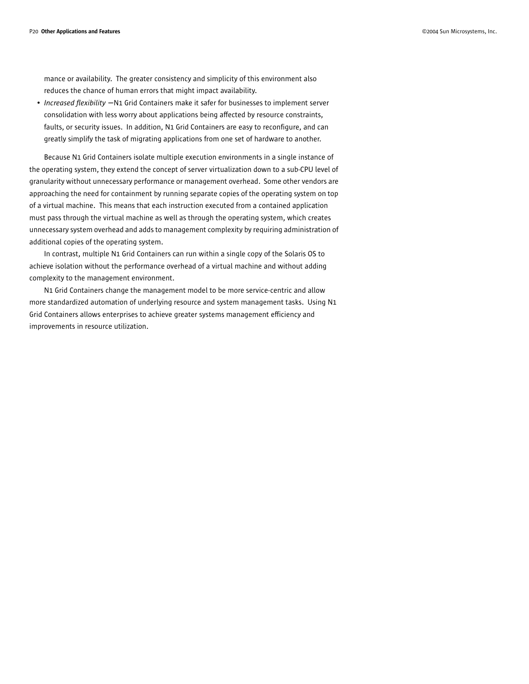mance or availability. The greater consistency and simplicity of this environment also reduces the chance of human errors that might impact availability.

• *Increased flexibility* − N1 Grid Containers make it safer for businesses to implement server consolidation with less worry about applications being affected by resource constraints, faults, or security issues. In addition, N1 Grid Containers are easy to reconfigure, and can greatly simplify the task of migrating applications from one set of hardware to another.

Because N1 Grid Containers isolate multiple execution environments in a single instance of the operating system, they extend the concept of server virtualization down to a sub-CPU level of granularity without unnecessary performance or management overhead. Some other vendors are approaching the need for containment by running separate copies of the operating system on top of a virtual machine. This means that each instruction executed from a contained application must pass through the virtual machine as well as through the operating system, which creates unnecessary system overhead and adds to management complexity by requiring administration of additional copies of the operating system.

In contrast, multiple N1 Grid Containers can run within a single copy of the Solaris OS to achieve isolation without the performance overhead of a virtual machine and without adding complexity to the management environment.

N1 Grid Containers change the management model to be more service-centric and allow more standardized automation of underlying resource and system management tasks. Using N1 Grid Containers allows enterprises to achieve greater systems management efficiency and improvements in resource utilization.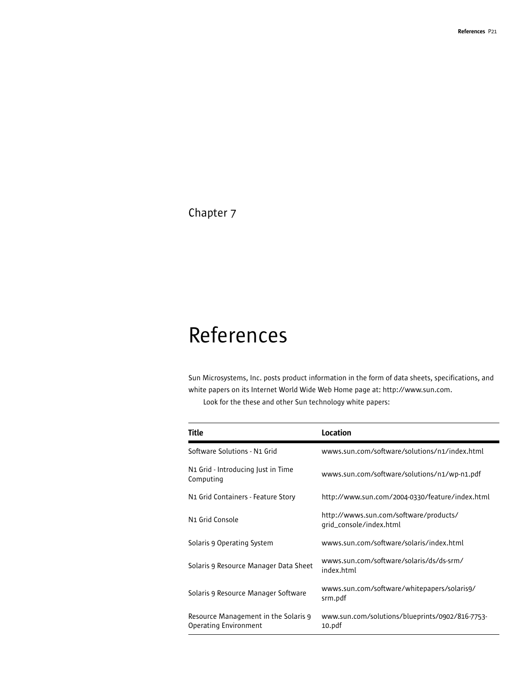# References

Sun Microsystems, Inc. posts product information in the form of data sheets, specifications, and white papers on its Internet World Wide Web Home page at: http://www.sun.com.

Look for the these and other Sun technology white papers:

| Title                                                         | Location                                                          |
|---------------------------------------------------------------|-------------------------------------------------------------------|
| Software Solutions - N1 Grid                                  | wwws.sun.com/software/solutions/n1/index.html                     |
| N1 Grid - Introducing Just in Time<br>Computing               | wwws.sun.com/software/solutions/n1/wp-n1.pdf                      |
| N1 Grid Containers - Feature Story                            | http://www.sun.com/2004-0330/feature/index.html                   |
| N1 Grid Console                                               | http://wwws.sun.com/software/products/<br>grid_console/index.html |
| Solaris 9 Operating System                                    | wwws.sun.com/software/solaris/index.html                          |
| Solaris 9 Resource Manager Data Sheet                         | wwws.sun.com/software/solaris/ds/ds-srm/<br>index.html            |
| Solaris 9 Resource Manager Software                           | wwws.sun.com/software/whitepapers/solaris9/<br>srm.pdf            |
| Resource Management in the Solaris 9<br>Operating Environment | www.sun.com/solutions/blueprints/0902/816-7753-<br>10.pdf         |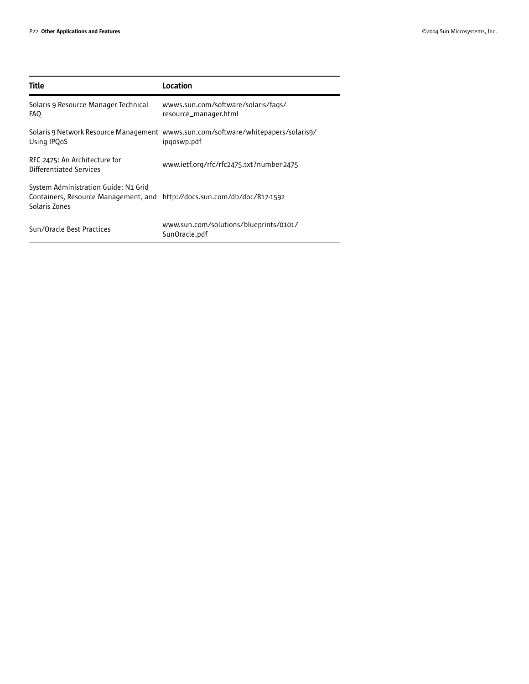| Title                                                                                                                             | Location                                                                                         |
|-----------------------------------------------------------------------------------------------------------------------------------|--------------------------------------------------------------------------------------------------|
| Solaris 9 Resource Manager Technical<br><b>FAO</b>                                                                                | wwws.sun.com/software/solaris/fags/<br>resource_manager.html                                     |
| Using IPOoS                                                                                                                       | Solaris 9 Network Resource Management wwws.sun.com/software/whitepapers/solaris9/<br>ipqoswp.pdf |
| RFC 2475: An Architecture for<br>Differentiated Services                                                                          | www.ietf.org/rfc/rfc2475.txt?number-2475                                                         |
| System Administration Guide: N1 Grid<br>Containers, Resource Management, and http://docs.sun.com/db/doc/817-1592<br>Solaris Zones |                                                                                                  |
| Sun/Oracle Best Practices                                                                                                         | www.sun.com/solutions/blueprints/0101/<br>SunOracle.pdf                                          |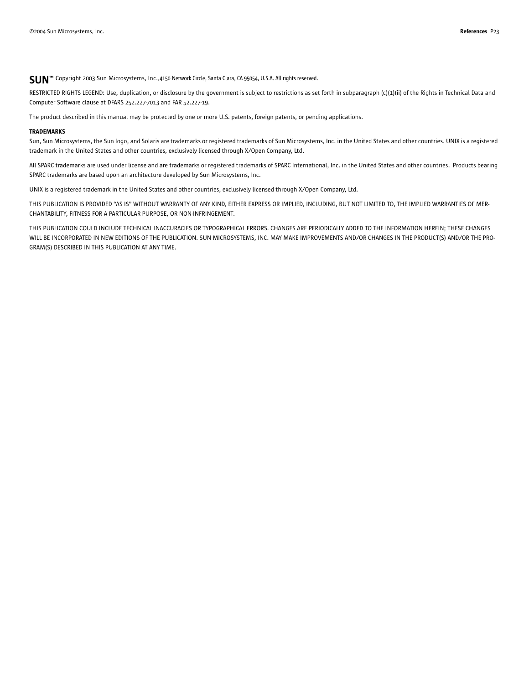## $\mathsf{SUM}$   $\mathsf{``}$  Copyright 2003 Sun Microsystems, Inc.,4150 Network Circle, Santa Clara, CA 95054, U.S.A. All rights reserved.

RESTRICTED RIGHTS LEGEND: Use, duplication, or disclosure by the government is subject to restrictions as set forth in subparagraph (c)(1)(ii) of the Rights in Technical Data and Computer Software clause at DFARS 252.227-7013 and FAR 52.227-19.

The product described in this manual may be protected by one or more U.S. patents, foreign patents, or pending applications.

#### TRADEMARKS

Sun, Sun Microsystems, the Sun logo, and Solaris are trademarks or registered trademarks of Sun Microsystems, Inc. in the United States and other countries. UNIX is a registered trademark in the United States and other countries, exclusively licensed through X/Open Company, Ltd.

All SPARC trademarks are used under license and are trademarks or registered trademarks of SPARC International, Inc. in the United States and other countries. Products bearing SPARC trademarks are based upon an architecture developed by Sun Microsystems, Inc.

UNIX is a registered trademark in the United States and other countries, exclusively licensed through X/Open Company, Ltd.

THIS PUBLICATION IS PROVIDED "AS IS" WITHOUT WARRANTY OF ANY KIND, EITHER EXPRESS OR IMPLIED, INCLUDING, BUT NOT LIMITED TO, THE IMPLIED WARRANTIES OF MER-CHANTABILITY, FITNESS FOR A PARTICULAR PURPOSE, OR NON-INFRINGEMENT.

THIS PUBLICATION COULD INCLUDE TECHNICAL INACCURACIES OR TYPOGRAPHICAL ERRORS. CHANGES ARE PERIODICALLY ADDED TO THE INFORMATION HEREIN; THESE CHANGES WILL BE INCORPORATED IN NEW EDITIONS OF THE PUBLICATION. SUN MICROSYSTEMS, INC. MAY MAKE IMPROVEMENTS AND/OR CHANGES IN THE PRODUCT(S) AND/OR THE PRO-GRAM(S) DESCRIBED IN THIS PUBLICATION AT ANY TIME.